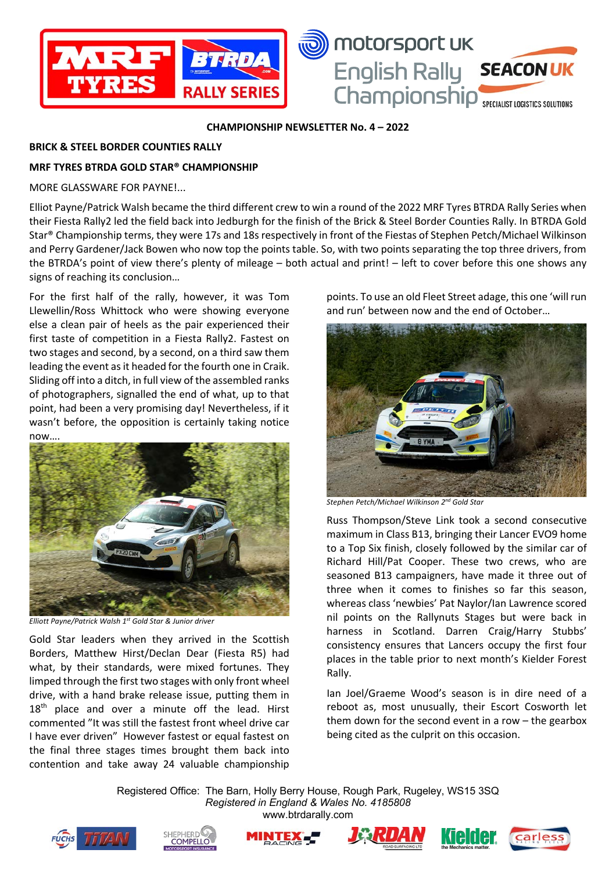



### **CHAMPIONSHIP NEWSLETTER No. 4 – 2022**

## **BRICK & STEEL BORDER COUNTIES RALLY**

## **MRF TYRES BTRDA GOLD STAR® CHAMPIONSHIP**

MORE GLASSWARE FOR PAYNE!...

Elliot Payne/Patrick Walsh became the third different crew to win a round of the 2022 MRF Tyres BTRDA Rally Series when their Fiesta Rally2 led the field back into Jedburgh for the finish of the Brick & Steel Border Counties Rally. In BTRDA Gold Star® Championship terms, they were 17s and 18s respectively in front of the Fiestas of Stephen Petch/Michael Wilkinson and Perry Gardener/Jack Bowen who now top the points table. So, with two points separating the top three drivers, from the BTRDA's point of view there's plenty of mileage – both actual and print! – left to cover before this one shows any signs of reaching its conclusion…

For the first half of the rally, however, it was Tom Llewellin/Ross Whittock who were showing everyone else a clean pair of heels as the pair experienced their first taste of competition in a Fiesta Rally2. Fastest on two stages and second, by a second, on a third saw them leading the event as it headed for the fourth one in Craik. Sliding off into a ditch, in full view of the assembled ranks of photographers, signalled the end of what, up to that point, had been a very promising day! Nevertheless, if it wasn't before, the opposition is certainly taking notice now….



*Elliott Payne/Patrick Walsh 1st Gold Star & Junior driver*

Gold Star leaders when they arrived in the Scottish Borders, Matthew Hirst/Declan Dear (Fiesta R5) had what, by their standards, were mixed fortunes. They limped through the first two stages with only front wheel drive, with a hand brake release issue, putting them in  $18<sup>th</sup>$  place and over a minute off the lead. Hirst commented "It was still the fastest front wheel drive car I have ever driven" However fastest or equal fastest on the final three stages times brought them back into contention and take away 24 valuable championship

points. To use an old Fleet Street adage, this one 'will run and run' between now and the end of October…



*Stephen Petch/Michael Wilkinson 2nd Gold Star*

Russ Thompson/Steve Link took a second consecutive maximum in Class B13, bringing their Lancer EVO9 home to a Top Six finish, closely followed by the similar car of Richard Hill/Pat Cooper. These two crews, who are seasoned B13 campaigners, have made it three out of three when it comes to finishes so far this season, whereas class 'newbies' Pat Naylor/Ian Lawrence scored nil points on the Rallynuts Stages but were back in harness in Scotland. Darren Craig/Harry Stubbs' consistency ensures that Lancers occupy the first four places in the table prior to next month's Kielder Forest Rally.

Ian Joel/Graeme Wood's season is in dire need of a reboot as, most unusually, their Escort Cosworth let them down for the second event in a row – the gearbox being cited as the culprit on this occasion.











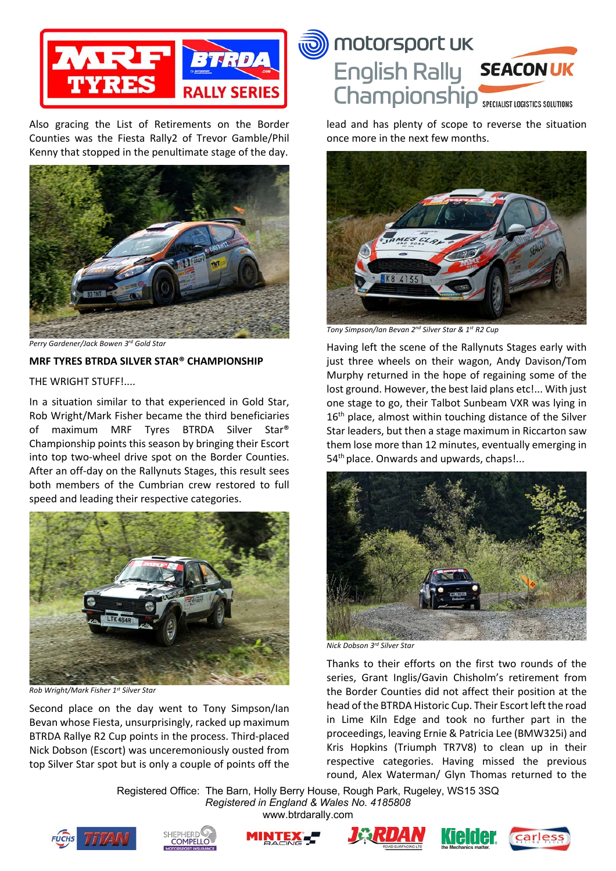

Also gracing the List of Retirements on the Border Counties was the Fiesta Rally2 of Trevor Gamble/Phil Kenny that stopped in the penultimate stage of the day.



*Perry Gardener/Jack Bowen 3rd Gold Star*

#### **MRF TYRES BTRDA SILVER STAR® CHAMPIONSHIP**

### THE WRIGHT STUFF!....

In a situation similar to that experienced in Gold Star, Rob Wright/Mark Fisher became the third beneficiaries of maximum MRF Tyres BTRDA Silver Star® Championship points this season by bringing their Escort into top two-wheel drive spot on the Border Counties. After an off-day on the Rallynuts Stages, this result sees both members of the Cumbrian crew restored to full speed and leading their respective categories.



*Rob Wright/Mark Fisher 1st Silver Star*

Second place on the day went to Tony Simpson/Ian Bevan whose Fiesta, unsurprisingly, racked up maximum BTRDA Rallye R2 Cup points in the process. Third-placed Nick Dobson (Escort) was unceremoniously ousted from top Silver Star spot but is only a couple of points off the



lead and has plenty of scope to reverse the situation once more in the next few months.



*Tony Simpson/Ian Bevan 2nd Silver Star & 1st R2 Cup*

Having left the scene of the Rallynuts Stages early with just three wheels on their wagon, Andy Davison/Tom Murphy returned in the hope of regaining some of the lost ground. However, the best laid plans etc!... With just one stage to go, their Talbot Sunbeam VXR was lying in  $16<sup>th</sup>$  place, almost within touching distance of the Silver Star leaders, but then a stage maximum in Riccarton saw them lose more than 12 minutes, eventually emerging in 54<sup>th</sup> place. Onwards and upwards, chaps!...



*Nick Dobson 3rd Silver Star*

Thanks to their efforts on the first two rounds of the series, Grant Inglis/Gavin Chisholm's retirement from the Border Counties did not affect their position at the head of the BTRDA Historic Cup. Their Escort left the road in Lime Kiln Edge and took no further part in the proceedings, leaving Ernie & Patricia Lee (BMW325i) and Kris Hopkins (Triumph TR7V8) to clean up in their respective categories. Having missed the previous round, Alex Waterman/ Glyn Thomas returned to the











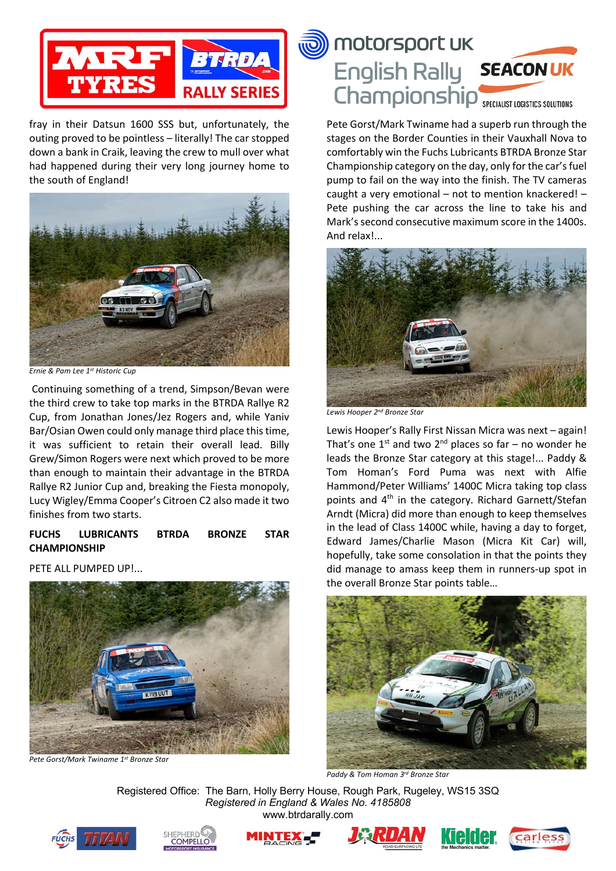

fray in their Datsun 1600 SSS but, unfortunately, the outing proved to be pointless – literally! The car stopped down a bank in Craik, leaving the crew to mull over what had happened during their very long journey home to the south of England!



*Ernie & Pam Lee 1st Historic Cup*

Continuing something of a trend, Simpson/Bevan were the third crew to take top marks in the BTRDA Rallye R2 Cup, from Jonathan Jones/Jez Rogers and, while Yaniv Bar/Osian Owen could only manage third place this time, it was sufficient to retain their overall lead. Billy Grew/Simon Rogers were next which proved to be more than enough to maintain their advantage in the BTRDA Rallye R2 Junior Cup and, breaking the Fiesta monopoly, Lucy Wigley/Emma Cooper's Citroen C2 also made it two finishes from two starts.

# **FUCHS LUBRICANTS BTRDA BRONZE STAR CHAMPIONSHIP**

PETE ALL PUMPED UP!...



*Pete Gorst/Mark Twiname 1st Bronze Star*



Pete Gorst/Mark Twiname had a superb run through the stages on the Border Counties in their Vauxhall Nova to comfortably win the Fuchs Lubricants BTRDA Bronze Star Championship category on the day, only for the car's fuel pump to fail on the way into the finish. The TV cameras caught a very emotional – not to mention knackered! – Pete pushing the car across the line to take his and Mark's second consecutive maximum score in the 1400s. And relax!...



*Lewis Hooper 2nd Bronze Star*

Lewis Hooper's Rally First Nissan Micra was next – again! That's one  $1^{st}$  and two  $2^{nd}$  places so far – no wonder he leads the Bronze Star category at this stage!... Paddy & Tom Homan's Ford Puma was next with Alfie Hammond/Peter Williams' 1400C Micra taking top class points and 4<sup>th</sup> in the category. Richard Garnett/Stefan Arndt (Micra) did more than enough to keep themselves in the lead of Class 1400C while, having a day to forget, Edward James/Charlie Mason (Micra Kit Car) will, hopefully, take some consolation in that the points they did manage to amass keep them in runners-up spot in the overall Bronze Star points table…



*Paddy & Tom Homan 3rd Bronze Star*









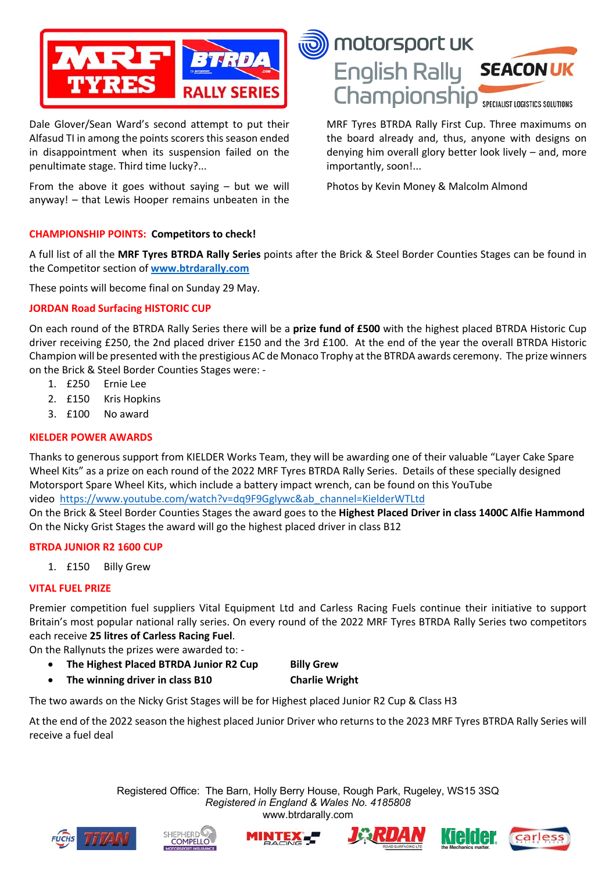

Dale Glover/Sean Ward's second attempt to put their Alfasud TI in among the points scorers this season ended in disappointment when its suspension failed on the penultimate stage. Third time lucky?...

From the above it goes without saying – but we will anyway! – that Lewis Hooper remains unbeaten in the



MRF Tyres BTRDA Rally First Cup. Three maximums on the board already and, thus, anyone with designs on denying him overall glory better look lively – and, more importantly, soon!...

Photos by Kevin Money & Malcolm Almond

# **CHAMPIONSHIP POINTS: Competitors to check!**

A full list of all the **MRF Tyres BTRDA Rally Series** points after the Brick & Steel Border Counties Stages can be found in the Competitor section of **www.btrdarally.com**

These points will become final on Sunday 29 May.

# **JORDAN Road Surfacing HISTORIC CUP**

On each round of the BTRDA Rally Series there will be a **prize fund of £500** with the highest placed BTRDA Historic Cup driver receiving £250, the 2nd placed driver £150 and the 3rd £100. At the end of the year the overall BTRDA Historic Champion will be presented with the prestigious AC de Monaco Trophy at the BTRDA awards ceremony. The prize winners on the Brick & Steel Border Counties Stages were: -

- 1. £250 Ernie Lee
- 2. £150 Kris Hopkins
- 3. £100 No award

# **KIELDER POWER AWARDS**

Thanks to generous support from KIELDER Works Team, they will be awarding one of their valuable "Layer Cake Spare Wheel Kits" as a prize on each round of the 2022 MRF Tyres BTRDA Rally Series. Details of these specially designed Motorsport Spare Wheel Kits, which include a battery impact wrench, can be found on this YouTube video https://www.youtube.com/watch?v=dq9F9Gglywc&ab\_channel=KielderWTLtd

On the Brick & Steel Border Counties Stages the award goes to the **Highest Placed Driver in class 1400C Alfie Hammond** On the Nicky Grist Stages the award will go the highest placed driver in class B12

# **BTRDA JUNIOR R2 1600 CUP**

1. £150 Billy Grew

# **VITAL FUEL PRIZE**

Premier competition fuel suppliers Vital Equipment Ltd and Carless Racing Fuels continue their initiative to support Britain's most popular national rally series. On every round of the 2022 MRF Tyres BTRDA Rally Series two competitors each receive **25 litres of Carless Racing Fuel**.

On the Rallynuts the prizes were awarded to: -

• **The Highest Placed BTRDA Junior R2 Cup Billy Grew**

• **The winning driver in class B10 Charlie Wright**

The two awards on the Nicky Grist Stages will be for Highest placed Junior R2 Cup & Class H3

At the end of the 2022 season the highest placed Junior Driver who returns to the 2023 MRF Tyres BTRDA Rally Series will receive a fuel deal









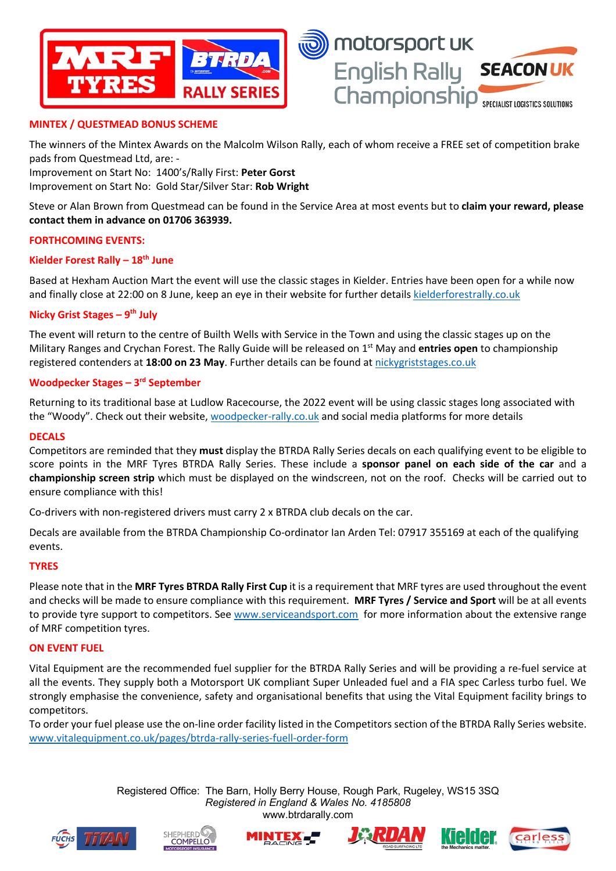



## **MINTEX / QUESTMEAD BONUS SCHEME**

The winners of the Mintex Awards on the Malcolm Wilson Rally, each of whom receive a FREE set of competition brake pads from Questmead Ltd, are: -

Improvement on Start No: 1400's/Rally First: **Peter Gorst**

Improvement on Start No: Gold Star/Silver Star: **Rob Wright**

Steve or Alan Brown from Questmead can be found in the Service Area at most events but to **claim your reward, please contact them in advance on 01706 363939.** 

### **FORTHCOMING EVENTS:**

### **Kielder Forest Rally – 18th June**

Based at Hexham Auction Mart the event will use the classic stages in Kielder. Entries have been open for a while now and finally close at 22:00 on 8 June, keep an eye in their website for further details kielderforestrally.co.uk

### **Nicky Grist Stages – 9th July**

The event will return to the centre of Builth Wells with Service in the Town and using the classic stages up on the Military Ranges and Crychan Forest. The Rally Guide will be released on 1st May and **entries open** to championship registered contenders at **18:00 on 23 May**. Further details can be found at nickygriststages.co.uk

### **Woodpecker Stages – 3rd September**

Returning to its traditional base at Ludlow Racecourse, the 2022 event will be using classic stages long associated with the "Woody". Check out their website, woodpecker-rally.co.uk and social media platforms for more details

#### **DECALS**

Competitors are reminded that they **must** display the BTRDA Rally Series decals on each qualifying event to be eligible to score points in the MRF Tyres BTRDA Rally Series. These include a **sponsor panel on each side of the car** and a **championship screen strip** which must be displayed on the windscreen, not on the roof. Checks will be carried out to ensure compliance with this!

Co-drivers with non-registered drivers must carry 2 x BTRDA club decals on the car.

Decals are available from the BTRDA Championship Co-ordinator Ian Arden Tel: 07917 355169 at each of the qualifying events.

#### **TYRES**

Please note that in the **MRF Tyres BTRDA Rally First Cup** it is a requirement that MRF tyres are used throughout the event and checks will be made to ensure compliance with this requirement. **MRF Tyres / Service and Sport** will be at all events to provide tyre support to competitors. See www.serviceandsport.com for more information about the extensive range of MRF competition tyres.

#### **ON EVENT FUEL**

Vital Equipment are the recommended fuel supplier for the BTRDA Rally Series and will be providing a re-fuel service at all the events. They supply both a Motorsport UK compliant Super Unleaded fuel and a FIA spec Carless turbo fuel. We strongly emphasise the convenience, safety and organisational benefits that using the Vital Equipment facility brings to competitors.

To order your fuel please use the on-line order facility listed in the Competitors section of the BTRDA Rally Series website. www.vitalequipment.co.uk/pages/btrda-rally-series-fuell-order-form